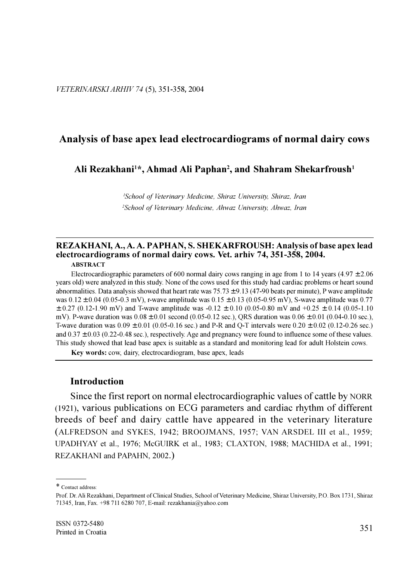## Analysis of base apex lead electrocardiograms of normal dairy cows

#### Ali Rezakhani<sup>1\*</sup>, Ahmad Ali Paphan<sup>2</sup>, and Shahram Shekarfroush<sup>1</sup>

<sup>1</sup>School of Veterinary Medicine, Shiraz University, Shiraz, Iran <sup>2</sup>School of Veterinary Medicine, Ahwaz University, Ahwaz, Iran

# REZAKHANI, A., A. A. PAPHAN, S. SHEKARFROUSH: Analysis of base apex lead electrocardiograms of normal dairy cows. Vet. arhiv 74, 351-358, 2004.

#### **ABSTRACT**

Electrocardiographic parameters of 600 normal dairy cows ranging in age from 1 to 14 years (4.97  $\pm$  2.06 years old) were analyzed in this study. None of the cows used for this study had cardiac problems or heart sound abnormalities. Data analysis showed that heart rate was  $75.73 \pm 9.13$  (47-90 beats per minute), P wave amplitude was  $0.12 \pm 0.04$  (0.05-0.3 mV), r-wave amplitude was  $0.15 \pm 0.13$  (0.05-0.95 mV), S-wave amplitude was 0.77  $\pm$  0.27 (0.12-1.90 mV) and T-wave amplitude was -0.12  $\pm$  0.10 (0.05-0.80 mV and +0.25  $\pm$  0.14 (0.05-1.10 mV). P-wave duration was  $0.08 \pm 0.01$  second (0.05-0.12 sec.), ORS duration was  $0.06 \pm 0.01$  (0.04-0.10 sec.), T-wave duration was  $0.09 \pm 0.01$  (0.05-0.16 sec.) and P-R and Q-T intervals were  $0.20 \pm 0.02$  (0.12-0.26 sec.) and  $0.37 \pm 0.03$  (0.22-0.48 sec.), respectively. Age and pregnancy were found to influence some of these values. This study showed that lead base apex is suitable as a standard and monitoring lead for adult Holstein cows.

Key words: cow, dairy, electrocardiogram, base apex, leads

#### **Introduction**

Since the first report on normal electrocardiographic values of cattle by NORR (1921), various publications on ECG parameters and cardiac rhythm of different breeds of beef and dairy cattle have appeared in the veterinary literature (ALFREDSON and SYKES, 1942; BROOJMANS, 1957; VAN ARSDEL III et al., 1959; UPADHYAY et al., 1976; McGUIRK et al., 1983; CLAXTON, 1988; MACHIDA et al., 1991; REZAKHANI and PAPAHN, 2002.)

<sup>\*</sup> Contact address:

Prof. Dr. Ali Rezakhani, Department of Clinical Studies, School of Veterinary Medicine, Shiraz University, P.O. Box 1731, Shiraz 71345, Iran, Fax. +98 711 6280 707, E-mail: rezakhania@yahoo.com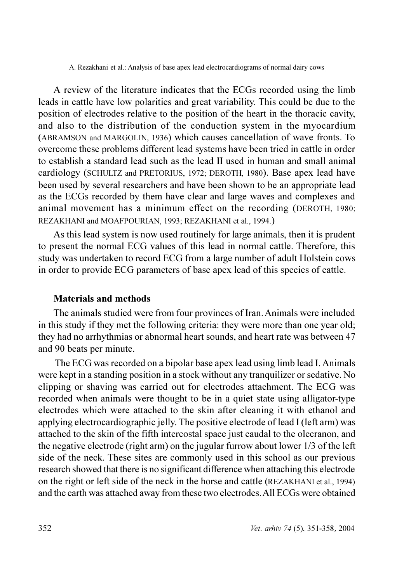A review of the literature indicates that the ECGs recorded using the limb leads in cattle have low polarities and great variability. This could be due to the position of electrodes relative to the position of the heart in the thoracic cavity, and also to the distribution of the conduction system in the myocardium (ABRAMSON and MARGOLIN, 1936) which causes cancellation of wave fronts. To overcome these problems different lead systems have been tried in cattle in order to establish a standard lead such as the lead II used in human and small animal cardiology (SCHULTZ and PRETORIUS, 1972; DEROTH, 1980). Base apex lead have been used by several researchers and have been shown to be an appropriate lead as the ECGs recorded by them have clear and large waves and complexes and animal movement has a minimum effect on the recording (DEROTH, 1980; REZAKHANI and MOAFPOURIAN, 1993; REZAKHANI et al., 1994.)

As this lead system is now used routinely for large animals, then it is prudent to present the normal ECG values of this lead in normal cattle. Therefore, this study was undertaken to record ECG from a large number of adult Holstein cows in order to provide ECG parameters of base apex lead of this species of cattle.

## **Materials and methods**

The animals studied were from four provinces of Iran. Animals were included in this study if they met the following criteria: they were more than one year old; they had no arrhythmias or abnormal heart sounds, and heart rate was between 47 and 90 beats per minute.

The ECG was recorded on a bipolar base apex lead using limb lead I. Animals were kept in a standing position in a stock without any tranquilizer or sedative. No clipping or shaving was carried out for electrodes attachment. The ECG was recorded when animals were thought to be in a quiet state using alligator-type electrodes which were attached to the skin after cleaning it with ethanol and applying electrocardiographic jelly. The positive electrode of lead I (left arm) was attached to the skin of the fifth intercostal space just caudal to the olecranon, and the negative electrode (right arm) on the jugular furrow about lower 1/3 of the left side of the neck. These sites are commonly used in this school as our previous research showed that there is no significant difference when attaching this electrode on the right or left side of the neck in the horse and cattle (REZAKHANI et al., 1994) and the earth was attached away from these two electrodes. All ECGs were obtained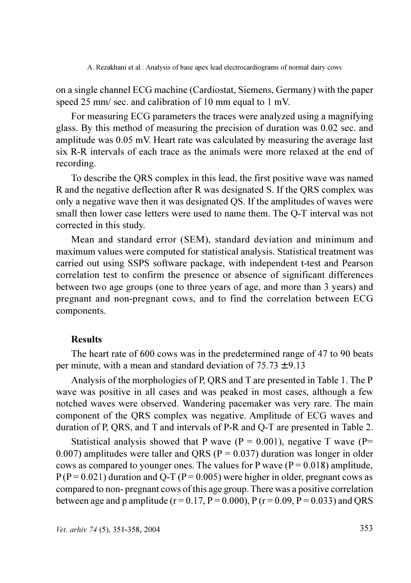on a single channel ECG machine (Cardiostat, Siemens, Germany) with the paper speed 25 mm/ sec. and calibration of 10 mm equal to 1 mV.

For measuring ECG parameters the traces were analyzed using a magnifying glass. By this method of measuring the precision of duration was 0.02 sec. and amplitude was 0.05 mV. Heart rate was calculated by measuring the average last six R-R intervals of each trace as the animals were more relaxed at the end of recording.

To describe the QRS complex in this lead, the first positive wave was named R and the negative deflection after R was designated S. If the QRS complex was only a negative wave then it was designated QS. If the amplitudes of waves were small then lower case letters were used to name them. The Q-T interval was not corrected in this study.

Mean and standard error (SEM), standard deviation and minimum and maximum values were computed for statistical analysis. Statistical treatment was carried out using SSPS software package, with independent t-test and Pearson correlation test to confirm the presence or absence of significant differences between two age groups (one to three years of age, and more than 3 years) and pregnant and non-pregnant cows, and to find the correlation between ECG components.

## **Results**

The heart rate of 600 cows was in the predetermined range of 47 to 90 beats per minute, with a mean and standard deviation of  $75.73 \pm 9.13$ 

Analysis of the morphologies of P, QRS and T are presented in Table 1. The P wave was positive in all cases and was peaked in most cases, although a few notched waves were observed. Wandering pacemaker was very rare. The main component of the ORS complex was negative. Amplitude of ECG waves and duration of P, QRS, and T and intervals of P-R and Q-T are presented in Table 2.

Statistical analysis showed that P wave ( $P = 0.001$ ), negative T wave ( $P=$ 0.007) amplitudes were taller and QRS ( $P = 0.037$ ) duration was longer in older cows as compared to younger ones. The values for P wave  $(P = 0.018)$  amplitude,  $P(P = 0.021)$  duration and Q-T ( $P = 0.005$ ) were higher in older, pregnant cows as compared to non-pregnant cows of this age group. There was a positive correlation between age and p amplitude ( $r = 0.17$ ,  $P = 0.000$ ),  $P(r = 0.09, P = 0.033)$  and QRS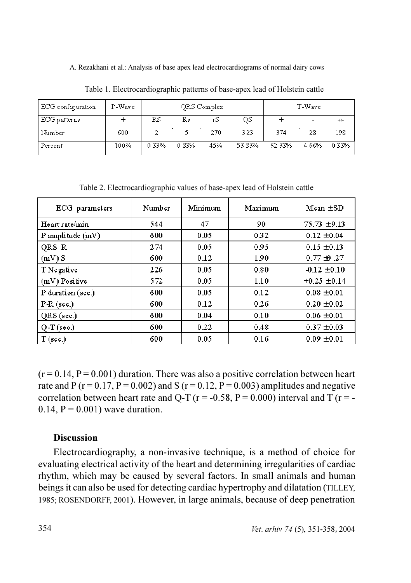| ECG configuration | P-Wave | ORS Complex |       |     |       | T Wave |      |      |
|-------------------|--------|-------------|-------|-----|-------|--------|------|------|
| BCG patterns      |        | RS          | Rs    | τS  | ОS    |        |      |      |
| Number            | 600    |             |       | 270 | 323   | 374    | 28   | 198  |
| Percent           | 100%   | 033%        | 0.83% | 45% | 5383% | 6233%  | 466% | 033% |

Table 1. Electrocardiographic patterns of base-apex lead of Holstein cattle

Table 2. Electrocardiographic values of base-apex lead of Holstein cattle

| ECG parameters     | Number | Minimum | Maximum | $Mean \pm SD$    |
|--------------------|--------|---------|---------|------------------|
| Heart rate/min     | 544    | 47      | 90      | $75.73 \pm 9.13$ |
| P amplitude $(mV)$ | 600    | 0.05    | 032     | $0.12 \pm 0.04$  |
| ORS R              | 274    | 0.05    | 095     | $0.15 \pm 0.13$  |
| $(mV)$ S           | 600    | 012     | 190     | $0.77 \pm 0.27$  |
| T Negative         | 226    | 0.05    | 0.80    | $0.12 \pm 0.10$  |
| (mV) Positive      | 572    | 0.05    | 110     | $+0.25 \pm 0.14$ |
| P duration (sec.)  | 600    | 0.05    | 012     | $0.08 \pm 0.01$  |
| P R (sec)          | 600    | 012     | 0.26    | $0.20 \pm 0.02$  |
| QRS (sec.)         | 600    | 0.04    | 010     | $0.06 \pm 0.01$  |
| $Q T$ (sec.)       | 600    | 0.22    | 048     | $0.37 \pm 0.03$  |
| $T$ (sec.)         | 600    | 0.05    | 0.16    | $0.09 \pm 0.01$  |

 $(r = 0.14, P = 0.001)$  duration. There was also a positive correlation between heart rate and P ( $r = 0.17$ ,  $P = 0.002$ ) and S ( $r = 0.12$ ,  $P = 0.003$ ) amplitudes and negative correlation between heart rate and Q-T ( $r = -0.58$ , P = 0.000) interval and T ( $r = 0.14, P = 0.001$  wave duration.

## **Discussion**

Electrocardiography, a non-invasive technique, is a method of choice for evaluating electrical activity of the heart and determining irregularities of cardiac rhythm, which may be caused by several factors. In small animals and human beings it can also be used for detecting cardiac hypertrophy and dilatation (TILLEY, 1985; ROSENDORFF, 2001). However, in large animals, because of deep penetration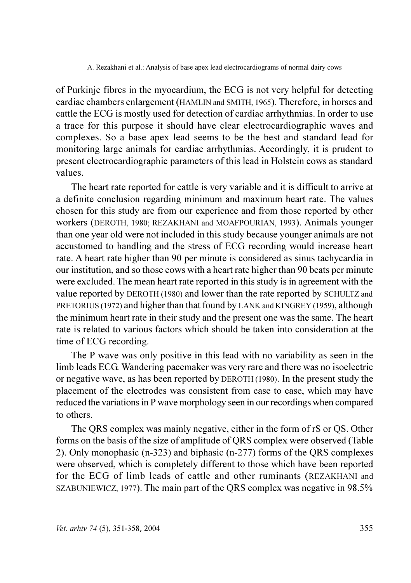of Purkinje fibres in the myocardium, the ECG is not very helpful for detecting cardiac chambers enlargement (HAMLIN and SMITH, 1965). Therefore, in horses and cattle the ECG is mostly used for detection of cardiac arrhythmias. In order to use a trace for this purpose it should have clear electrocardiographic waves and complexes. So a base apex lead seems to be the best and standard lead for monitoring large animals for cardiac arrhythmias. Accordingly, it is prudent to present electrocardiographic parameters of this lead in Holstein cows as standard values.

The heart rate reported for cattle is very variable and it is difficult to arrive at a definite conclusion regarding minimum and maximum heart rate. The values chosen for this study are from our experience and from those reported by other workers (DEROTH, 1980; REZAKHANI and MOAFPOURIAN, 1993). Animals younger than one year old were not included in this study because younger animals are not accustomed to handling and the stress of ECG recording would increase heart rate. A heart rate higher than 90 per minute is considered as sinus tachycardia in our institution, and so those cows with a heart rate higher than 90 beats per minute were excluded. The mean heart rate reported in this study is in agreement with the value reported by DEROTH (1980) and lower than the rate reported by SCHULTZ and PRETORIUS (1972) and higher than that found by LANK and KINGREY (1959), although the minimum heart rate in their study and the present one was the same. The heart rate is related to various factors which should be taken into consideration at the time of ECG recording.

The P wave was only positive in this lead with no variability as seen in the limb leads ECG. Wandering pacemaker was very rare and there was no isoelectric or negative wave, as has been reported by DEROTH (1980). In the present study the placement of the electrodes was consistent from case to case, which may have reduced the variations in P wave morphology seen in our recordings when compared to others.

The QRS complex was mainly negative, either in the form of rS or QS. Other forms on the basis of the size of amplitude of QRS complex were observed (Table 2). Only monophasic (n-323) and biphasic (n-277) forms of the QRS complexes were observed, which is completely different to those which have been reported for the ECG of limb leads of cattle and other ruminants (REZAKHANI and SZABUNIEWICZ, 1977). The main part of the ORS complex was negative in 98.5%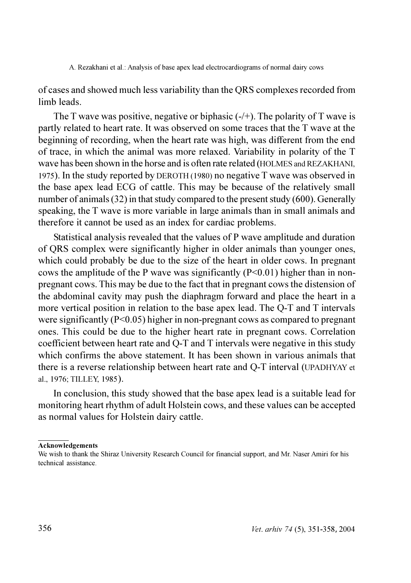of cases and showed much less variability than the QRS complexes recorded from limb leads.

The T wave was positive, negative or biphasic  $(-/+)$ . The polarity of T wave is partly related to heart rate. It was observed on some traces that the T wave at the beginning of recording, when the heart rate was high, was different from the end of trace, in which the animal was more relaxed. Variability in polarity of the T wave has been shown in the horse and is often rate related (HOLMES and REZAKHANI, 1975). In the study reported by DEROTH (1980) no negative T wave was observed in the base apex lead ECG of cattle. This may be because of the relatively small number of animals  $(32)$  in that study compared to the present study  $(600)$ . Generally speaking, the T wave is more variable in large animals than in small animals and therefore it cannot be used as an index for cardiac problems.

Statistical analysis revealed that the values of P wave amplitude and duration of ORS complex were significantly higher in older animals than younger ones, which could probably be due to the size of the heart in older cows. In pregnant cows the amplitude of the P wave was significantly  $(P<0.01)$  higher than in nonpregnant cows. This may be due to the fact that in pregnant cows the distension of the abdominal cavity may push the diaphragm forward and place the heart in a more vertical position in relation to the base apex lead. The Q-T and T intervals were significantly ( $P<0.05$ ) higher in non-pregnant cows as compared to pregnant ones. This could be due to the higher heart rate in pregnant cows. Correlation coefficient between heart rate and Q-T and T intervals were negative in this study which confirms the above statement. It has been shown in various animals that there is a reverse relationship between heart rate and O-T interval (UPADHYAY et al., 1976; TILLEY, 1985).

In conclusion, this study showed that the base apex lead is a suitable lead for monitoring heart rhythm of adult Holstein cows, and these values can be accepted as normal values for Holstein dairy cattle.

#### **Acknowledgements**

We wish to thank the Shiraz University Research Council for financial support, and Mr. Naser Amiri for his technical assistance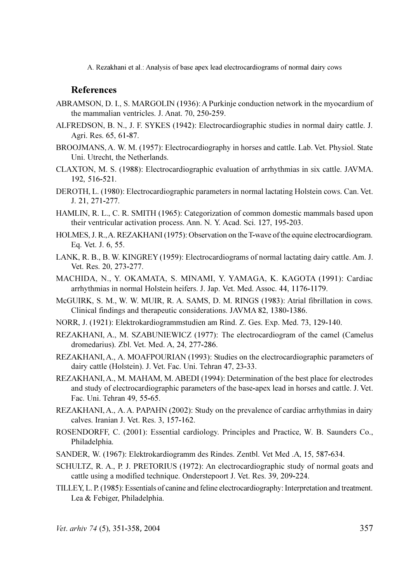## **References**

- ABRAMSON, D. I., S. MARGOLIN (1936): A Purkinje conduction network in the myocardium of the mammalian ventricles. J. Anat. 70, 250-259.
- ALFREDSON, B. N., J. F. SYKES (1942): Electrocardiographic studies in normal dairy cattle. J. Agri. Res. 65, 61-87.
- BROOJMANS, A. W. M. (1957): Electrocardiography in horses and cattle. Lab. Vet. Physiol. State Uni. Utrecht, the Netherlands.
- CLAXTON, M. S. (1988): Electrocardiographic evaluation of arrhythmias in six cattle. JAVMA. 192. 516-521.
- DEROTH, L. (1980): Electrocardiographic parameters in normal lactating Holstein cows. Can. Vet. J. 21, 271-277.
- HAMLIN, R. L., C. R. SMITH (1965): Categorization of common domestic mammals based upon their ventricular activation process. Ann. N. Y. Acad. Sci. 127, 195-203.
- HOLMES, J. R., A. REZAKHANI (1975): Observation on the T-wave of the equine electrocardiogram. Eq. Vet. J. 6, 55.
- LANK, R. B., B. W. KINGREY (1959): Electrocardiograms of normal lactating dairy cattle. Am. J. Vet. Res. 20, 273-277.
- MACHIDA, N., Y. OKAMATA, S. MINAMI, Y. YAMAGA, K. KAGOTA (1991): Cardiac arrhythmias in normal Holstein heifers. J. Jap. Vet. Med. Assoc. 44, 1176-1179.
- McGUIRK, S. M., W. W. MUIR, R. A. SAMS, D. M. RINGS (1983): Atrial fibrillation in cows. Clinical findings and therapeutic considerations. JAVMA 82, 1380-1386.
- NORR, J. (1921): Elektrokardiogrammstudien am Rind. Z. Ges. Exp. Med. 73, 129-140.
- REZAKHANI, A., M. SZABUNIEWICZ (1977): The electrocardiogram of the camel (Camelus dromedarius). Zbl. Vet. Med. A, 24, 277-286.
- REZAKHANI, A., A. MOAFPOURIAN (1993): Studies on the electrocardiographic parameters of dairy cattle (Holstein). J. Vet. Fac. Uni. Tehran 47, 23-33.
- REZAKHANI, A., M. MAHAM, M. ABEDI (1994): Determination of the best place for electrodes and study of electrocardiographic parameters of the base-apex lead in horses and cattle. J. Vet. Fac. Uni. Tehran 49, 55-65.
- REZAKHANI, A., A. A. PAPAHN (2002): Study on the prevalence of cardiac arrhythmias in dairy calves. Iranian J. Vet. Res. 3, 157-162.
- ROSENDORFF, C. (2001): Essential cardiology. Principles and Practice, W. B. Saunders Co., Philadelphia.
- SANDER, W. (1967): Elektrokardiogramm des Rindes. Zentbl. Vet Med .A, 15, 587-634.
- SCHULTZ, R. A., P. J. PRETORIUS (1972): An electrocardiographic study of normal goats and cattle using a modified technique. Onderstepoort J. Vet. Res. 39, 209-224.
- TILLEY, L. P. (1985): Essentials of canine and feline electrocardiography: Interpretation and treatment. Lea & Febiger, Philadelphia.